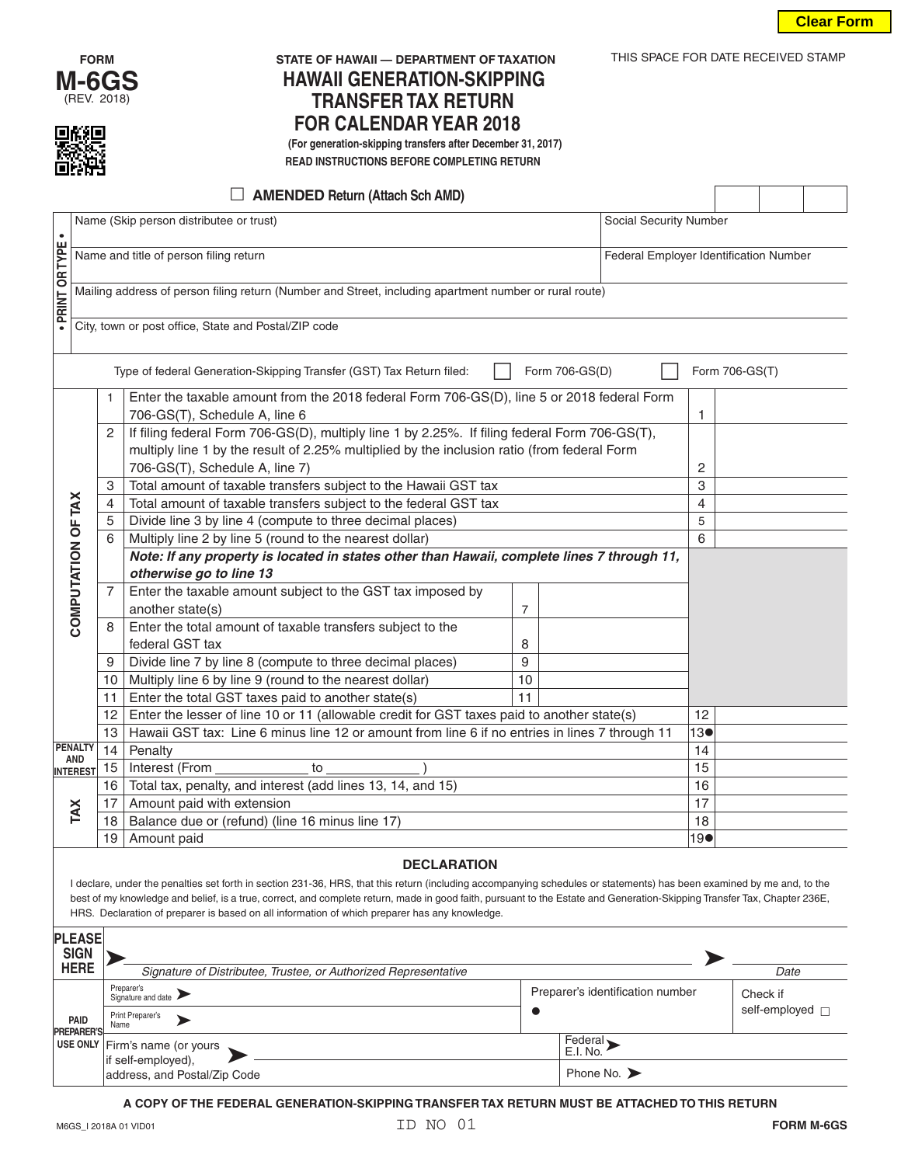



# **FORM STATE OF HAWAII — DEPARTMENT OF TAXATION** THIS SPACE FOR DATE RECEIVED STAMP **HAWAII GENERATION-SKIPPING TRANSFER TAX RETURN FOR CALENDAR YEAR 2018**<br> **The Second State Called Area (For generation-skipping transfers after December 31, 2017)**

 **READ INSTRUCTIONS BEFORE COMPLETING RETURN**

| <b>AMENDED Return (Attach Sch AMD)</b>                                                                                                                                   |                                                                                                                                             |                                                      |                                                                                                        |    |  |     |                     |  |     |  |  |
|--------------------------------------------------------------------------------------------------------------------------------------------------------------------------|---------------------------------------------------------------------------------------------------------------------------------------------|------------------------------------------------------|--------------------------------------------------------------------------------------------------------|----|--|-----|---------------------|--|-----|--|--|
|                                                                                                                                                                          | Name (Skip person distributee or trust)<br>Social Security Number                                                                           |                                                      |                                                                                                        |    |  |     |                     |  |     |  |  |
|                                                                                                                                                                          |                                                                                                                                             |                                                      |                                                                                                        |    |  |     |                     |  |     |  |  |
|                                                                                                                                                                          | Name and title of person filing return<br>Federal Employer Identification Number                                                            |                                                      |                                                                                                        |    |  |     |                     |  |     |  |  |
|                                                                                                                                                                          |                                                                                                                                             |                                                      |                                                                                                        |    |  |     |                     |  |     |  |  |
| · PRINT OR TYPE                                                                                                                                                          |                                                                                                                                             |                                                      | Mailing address of person filing return (Number and Street, including apartment number or rural route) |    |  |     |                     |  |     |  |  |
|                                                                                                                                                                          |                                                                                                                                             | City, town or post office, State and Postal/ZIP code |                                                                                                        |    |  |     |                     |  |     |  |  |
|                                                                                                                                                                          |                                                                                                                                             |                                                      |                                                                                                        |    |  |     |                     |  |     |  |  |
| Type of federal Generation-Skipping Transfer (GST) Tax Return filed:<br>Form 706-GS(D)<br>Form 706-GS(T)                                                                 |                                                                                                                                             |                                                      |                                                                                                        |    |  |     |                     |  |     |  |  |
|                                                                                                                                                                          |                                                                                                                                             | $\mathbf{1}$                                         | Enter the taxable amount from the 2018 federal Form 706-GS(D), line 5 or 2018 federal Form             |    |  |     |                     |  |     |  |  |
|                                                                                                                                                                          |                                                                                                                                             |                                                      | 706-GS(T), Schedule A, line 6                                                                          |    |  |     | 1                   |  |     |  |  |
|                                                                                                                                                                          |                                                                                                                                             | 2                                                    | If filing federal Form 706-GS(D), multiply line 1 by 2.25%. If filing federal Form 706-GS(T),          |    |  |     |                     |  |     |  |  |
|                                                                                                                                                                          |                                                                                                                                             |                                                      | multiply line 1 by the result of 2.25% multiplied by the inclusion ratio (from federal Form            |    |  |     |                     |  |     |  |  |
|                                                                                                                                                                          |                                                                                                                                             |                                                      | 706-GS(T), Schedule A, line 7)                                                                         |    |  |     | 2                   |  |     |  |  |
|                                                                                                                                                                          |                                                                                                                                             | 3                                                    | Total amount of taxable transfers subject to the Hawaii GST tax                                        |    |  |     | 3<br>$\overline{4}$ |  |     |  |  |
|                                                                                                                                                                          |                                                                                                                                             | $\overline{4}$                                       | Total amount of taxable transfers subject to the federal GST tax                                       |    |  |     |                     |  |     |  |  |
|                                                                                                                                                                          |                                                                                                                                             | 5                                                    | Divide line 3 by line 4 (compute to three decimal places)                                              |    |  |     |                     |  |     |  |  |
|                                                                                                                                                                          |                                                                                                                                             | 6                                                    | Multiply line 2 by line 5 (round to the nearest dollar)                                                |    |  |     |                     |  |     |  |  |
|                                                                                                                                                                          | COMPUTATION OF TAX<br>Note: If any property is located in states other than Hawaii, complete lines 7 through 11,<br>otherwise go to line 13 |                                                      |                                                                                                        |    |  |     |                     |  |     |  |  |
|                                                                                                                                                                          |                                                                                                                                             | 7                                                    | Enter the taxable amount subject to the GST tax imposed by                                             |    |  |     |                     |  |     |  |  |
|                                                                                                                                                                          |                                                                                                                                             |                                                      | another state(s)                                                                                       | 7  |  |     |                     |  |     |  |  |
|                                                                                                                                                                          |                                                                                                                                             | 8                                                    | Enter the total amount of taxable transfers subject to the                                             |    |  |     |                     |  |     |  |  |
|                                                                                                                                                                          |                                                                                                                                             |                                                      | federal GST tax                                                                                        | 8  |  |     |                     |  |     |  |  |
|                                                                                                                                                                          |                                                                                                                                             | 9                                                    | Divide line 7 by line 8 (compute to three decimal places)                                              | 9  |  |     |                     |  |     |  |  |
|                                                                                                                                                                          |                                                                                                                                             | 10                                                   | Multiply line 6 by line 9 (round to the nearest dollar)                                                | 10 |  |     |                     |  |     |  |  |
|                                                                                                                                                                          |                                                                                                                                             | 11                                                   | Enter the total GST taxes paid to another state(s)                                                     | 11 |  |     |                     |  |     |  |  |
|                                                                                                                                                                          |                                                                                                                                             | 12                                                   | Enter the lesser of line 10 or 11 (allowable credit for GST taxes paid to another state(s)             |    |  |     |                     |  |     |  |  |
|                                                                                                                                                                          |                                                                                                                                             | 13                                                   | Hawaii GST tax: Line 6 minus line 12 or amount from line 6 if no entries in lines 7 through 11         |    |  | 13● |                     |  |     |  |  |
|                                                                                                                                                                          | <b>PENALTY</b>                                                                                                                              | 14                                                   | Penalty                                                                                                | 14 |  |     |                     |  |     |  |  |
|                                                                                                                                                                          | <b>AND</b><br><b>INTEREST</b>                                                                                                               | 15                                                   | Interest (From<br>to                                                                                   | 15 |  |     |                     |  |     |  |  |
|                                                                                                                                                                          |                                                                                                                                             | 16                                                   | Total tax, penalty, and interest (add lines 13, 14, and 15)                                            |    |  |     | 16                  |  |     |  |  |
|                                                                                                                                                                          | TAX                                                                                                                                         | 17                                                   | Amount paid with extension                                                                             | 17 |  |     |                     |  |     |  |  |
|                                                                                                                                                                          |                                                                                                                                             | 18                                                   | Balance due or (refund) (line 16 minus line 17)                                                        |    |  |     |                     |  |     |  |  |
|                                                                                                                                                                          |                                                                                                                                             | 19                                                   | Amount paid                                                                                            |    |  |     |                     |  | 190 |  |  |
| <b>DECLARATION</b>                                                                                                                                                       |                                                                                                                                             |                                                      |                                                                                                        |    |  |     |                     |  |     |  |  |
| I declare, under the penalties set forth in section 231-36, HRS, that this return (including accompanying schedules or statements) has been examined by me and, to the   |                                                                                                                                             |                                                      |                                                                                                        |    |  |     |                     |  |     |  |  |
| best of my knowledge and belief, is a true, correct, and complete return, made in good faith, pursuant to the Estate and Generation-Skipping Transfer Tax, Chapter 236E, |                                                                                                                                             |                                                      |                                                                                                        |    |  |     |                     |  |     |  |  |
| HRS. Declaration of preparer is based on all information of which preparer has any knowledge.                                                                            |                                                                                                                                             |                                                      |                                                                                                        |    |  |     |                     |  |     |  |  |

| <b>PLEASE</b><br><b>SIGN</b><br><b>HERE</b> | Signature of Distributee, Trustee, or Authorized Representative                      |  |                                                         | Date                             |  |
|---------------------------------------------|--------------------------------------------------------------------------------------|--|---------------------------------------------------------|----------------------------------|--|
| PAID<br><b>PREPARER'S</b>                   | Preparer's<br>Signature and date<br>Print Preparer's<br>Name                         |  | Preparer's identification number                        | Check if<br>self-employed $\Box$ |  |
|                                             | USE ONLY Firm's name (or yours<br>if self-employed),<br>address, and Postal/Zip Code |  | Federal,<br>E.I. No.<br>Phone No. $\blacktriangleright$ |                                  |  |

**A COPY OF THE FEDERAL GENERATION-SKIPPING TRANSFER TAX RETURN MUST BE ATTACHED TO THIS RETURN**